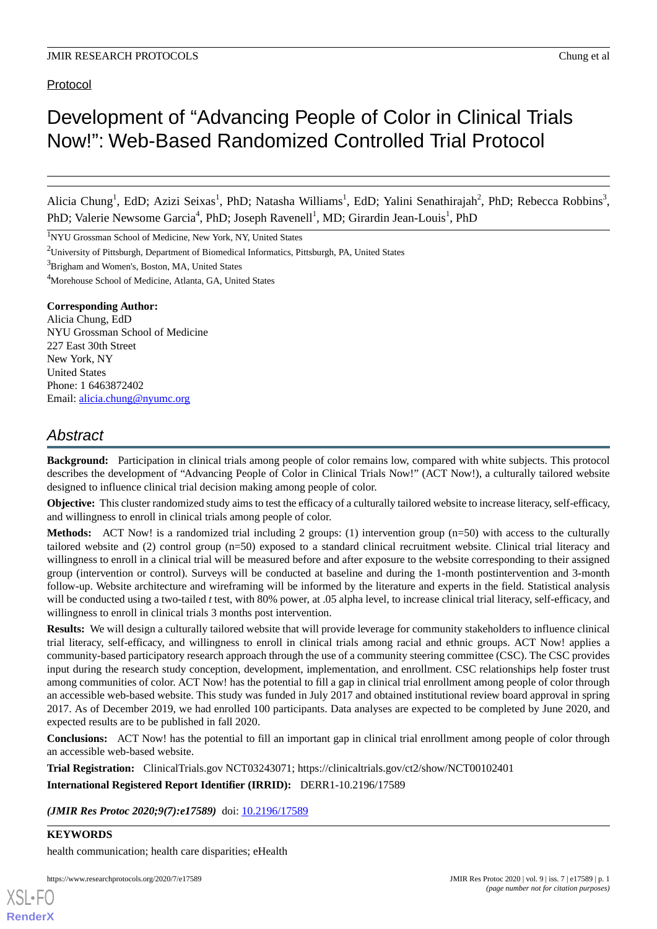# Development of "Advancing People of Color in Clinical Trials Now!": Web-Based Randomized Controlled Trial Protocol

Alicia Chung<sup>1</sup>, EdD; Azizi Seixas<sup>1</sup>, PhD; Natasha Williams<sup>1</sup>, EdD; Yalini Senathirajah<sup>2</sup>, PhD; Rebecca Robbins<sup>3</sup>, PhD; Valerie Newsome Garcia<sup>4</sup>, PhD; Joseph Ravenell<sup>1</sup>, MD; Girardin Jean-Louis<sup>1</sup>, PhD

<sup>1</sup>NYU Grossman School of Medicine, New York, NY, United States

<sup>2</sup>University of Pittsburgh, Department of Biomedical Informatics, Pittsburgh, PA, United States

<sup>3</sup>Brigham and Women's, Boston, MA, United States

<sup>4</sup>Morehouse School of Medicine, Atlanta, GA, United States

#### **Corresponding Author:**

Alicia Chung, EdD NYU Grossman School of Medicine 227 East 30th Street New York, NY United States Phone: 1 6463872402 Email: [alicia.chung@nyumc.org](mailto:alicia.chung@nyumc.org)

# *Abstract*

**Background:** Participation in clinical trials among people of color remains low, compared with white subjects. This protocol describes the development of "Advancing People of Color in Clinical Trials Now!" (ACT Now!), a culturally tailored website designed to influence clinical trial decision making among people of color.

**Objective:** This cluster randomized study aims to test the efficacy of a culturally tailored website to increase literacy, self-efficacy, and willingness to enroll in clinical trials among people of color.

**Methods:** ACT Now! is a randomized trial including 2 groups: (1) intervention group (n=50) with access to the culturally tailored website and (2) control group (n=50) exposed to a standard clinical recruitment website. Clinical trial literacy and willingness to enroll in a clinical trial will be measured before and after exposure to the website corresponding to their assigned group (intervention or control). Surveys will be conducted at baseline and during the 1-month postintervention and 3-month follow-up. Website architecture and wireframing will be informed by the literature and experts in the field. Statistical analysis will be conducted using a two-tailed *t* test, with 80% power, at .05 alpha level, to increase clinical trial literacy, self-efficacy, and willingness to enroll in clinical trials 3 months post intervention.

**Results:** We will design a culturally tailored website that will provide leverage for community stakeholders to influence clinical trial literacy, self-efficacy, and willingness to enroll in clinical trials among racial and ethnic groups. ACT Now! applies a community-based participatory research approach through the use of a community steering committee (CSC). The CSC provides input during the research study conception, development, implementation, and enrollment. CSC relationships help foster trust among communities of color. ACT Now! has the potential to fill a gap in clinical trial enrollment among people of color through an accessible web-based website. This study was funded in July 2017 and obtained institutional review board approval in spring 2017. As of December 2019, we had enrolled 100 participants. Data analyses are expected to be completed by June 2020, and expected results are to be published in fall 2020.

**Conclusions:** ACT Now! has the potential to fill an important gap in clinical trial enrollment among people of color through an accessible web-based website.

**Trial Registration:** ClinicalTrials.gov NCT03243071; https://clinicaltrials.gov/ct2/show/NCT00102401 **International Registered Report Identifier (IRRID):** DERR1-10.2196/17589

*(JMIR Res Protoc 2020;9(7):e17589)* doi: [10.2196/17589](http://dx.doi.org/10.2196/17589)

**KEYWORDS**

[XSL](http://www.w3.org/Style/XSL)•FO **[RenderX](http://www.renderx.com/)**

health communication; health care disparities; eHealth

https://www.researchprotocols.org/2020/7/e17589 p. 1 and the state of the state of the state of the state of the state of the state of the state of the state of the state of the state of the state of the state of the state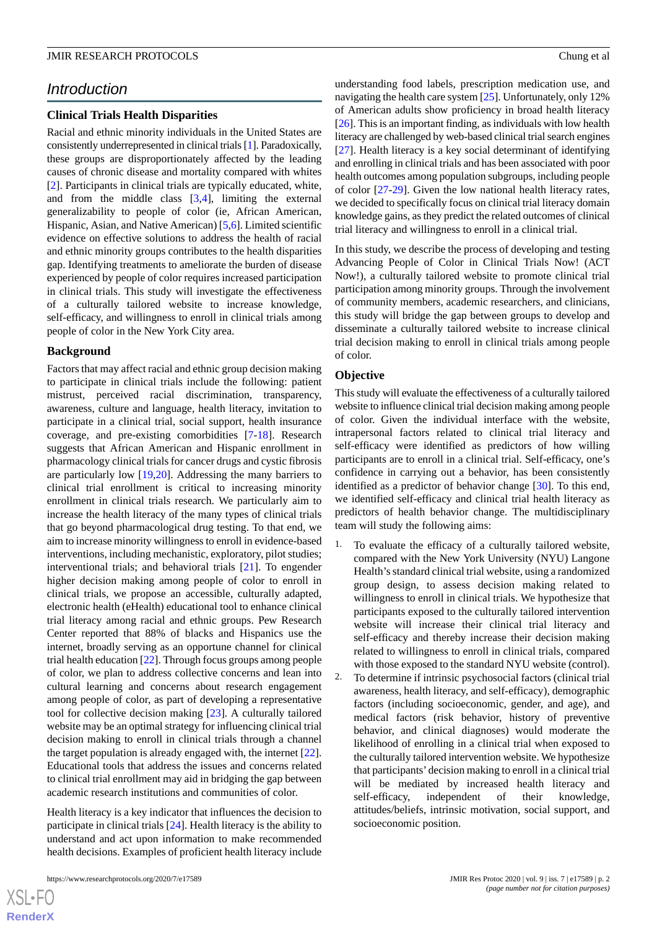# *Introduction*

### **Clinical Trials Health Disparities**

Racial and ethnic minority individuals in the United States are consistently underrepresented in clinical trials [\[1\]](#page-8-0). Paradoxically, these groups are disproportionately affected by the leading causes of chronic disease and mortality compared with whites [[2\]](#page-8-1). Participants in clinical trials are typically educated, white, and from the middle class [[3](#page-8-2)[,4](#page-8-3)], limiting the external generalizability to people of color (ie, African American, Hispanic, Asian, and Native American) [[5](#page-8-4)[,6](#page-8-5)]. Limited scientific evidence on effective solutions to address the health of racial and ethnic minority groups contributes to the health disparities gap. Identifying treatments to ameliorate the burden of disease experienced by people of color requires increased participation in clinical trials. This study will investigate the effectiveness of a culturally tailored website to increase knowledge, self-efficacy, and willingness to enroll in clinical trials among people of color in the New York City area.

#### **Background**

Factors that may affect racial and ethnic group decision making to participate in clinical trials include the following: patient mistrust, perceived racial discrimination, transparency, awareness, culture and language, health literacy, invitation to participate in a clinical trial, social support, health insurance coverage, and pre-existing comorbidities [[7](#page-8-6)[-18](#page-9-0)]. Research suggests that African American and Hispanic enrollment in pharmacology clinical trials for cancer drugs and cystic fibrosis are particularly low [[19,](#page-9-1)[20](#page-9-2)]. Addressing the many barriers to clinical trial enrollment is critical to increasing minority enrollment in clinical trials research. We particularly aim to increase the health literacy of the many types of clinical trials that go beyond pharmacological drug testing. To that end, we aim to increase minority willingness to enroll in evidence-based interventions, including mechanistic, exploratory, pilot studies; interventional trials; and behavioral trials [[21\]](#page-9-3). To engender higher decision making among people of color to enroll in clinical trials, we propose an accessible, culturally adapted, electronic health (eHealth) educational tool to enhance clinical trial literacy among racial and ethnic groups. Pew Research Center reported that 88% of blacks and Hispanics use the internet, broadly serving as an opportune channel for clinical trial health education [\[22](#page-9-4)]. Through focus groups among people of color, we plan to address collective concerns and lean into cultural learning and concerns about research engagement among people of color, as part of developing a representative tool for collective decision making [\[23](#page-9-5)]. A culturally tailored website may be an optimal strategy for influencing clinical trial decision making to enroll in clinical trials through a channel the target population is already engaged with, the internet [[22\]](#page-9-4). Educational tools that address the issues and concerns related to clinical trial enrollment may aid in bridging the gap between academic research institutions and communities of color.

Health literacy is a key indicator that influences the decision to participate in clinical trials [\[24](#page-9-6)]. Health literacy is the ability to understand and act upon information to make recommended health decisions. Examples of proficient health literacy include

 $XS$  • FO **[RenderX](http://www.renderx.com/)** understanding food labels, prescription medication use, and navigating the health care system [\[25](#page-9-7)]. Unfortunately, only 12% of American adults show proficiency in broad health literacy [[26\]](#page-9-8). This is an important finding, as individuals with low health literacy are challenged by web-based clinical trial search engines [[27\]](#page-9-9). Health literacy is a key social determinant of identifying and enrolling in clinical trials and has been associated with poor health outcomes among population subgroups, including people of color [\[27](#page-9-9)-[29\]](#page-9-10). Given the low national health literacy rates, we decided to specifically focus on clinical trial literacy domain knowledge gains, as they predict the related outcomes of clinical trial literacy and willingness to enroll in a clinical trial.

In this study, we describe the process of developing and testing Advancing People of Color in Clinical Trials Now! (ACT Now!), a culturally tailored website to promote clinical trial participation among minority groups. Through the involvement of community members, academic researchers, and clinicians, this study will bridge the gap between groups to develop and disseminate a culturally tailored website to increase clinical trial decision making to enroll in clinical trials among people of color.

### **Objective**

This study will evaluate the effectiveness of a culturally tailored website to influence clinical trial decision making among people of color. Given the individual interface with the website, intrapersonal factors related to clinical trial literacy and self-efficacy were identified as predictors of how willing participants are to enroll in a clinical trial. Self-efficacy, one's confidence in carrying out a behavior, has been consistently identified as a predictor of behavior change [\[30](#page-9-11)]. To this end, we identified self-efficacy and clinical trial health literacy as predictors of health behavior change. The multidisciplinary team will study the following aims:

- To evaluate the efficacy of a culturally tailored website, compared with the New York University (NYU) Langone Health's standard clinical trial website, using a randomized group design, to assess decision making related to willingness to enroll in clinical trials. We hypothesize that participants exposed to the culturally tailored intervention website will increase their clinical trial literacy and self-efficacy and thereby increase their decision making related to willingness to enroll in clinical trials, compared with those exposed to the standard NYU website (control).
- 2. To determine if intrinsic psychosocial factors (clinical trial awareness, health literacy, and self-efficacy), demographic factors (including socioeconomic, gender, and age), and medical factors (risk behavior, history of preventive behavior, and clinical diagnoses) would moderate the likelihood of enrolling in a clinical trial when exposed to the culturally tailored intervention website. We hypothesize that participants'decision making to enroll in a clinical trial will be mediated by increased health literacy and self-efficacy, independent of their knowledge, attitudes/beliefs, intrinsic motivation, social support, and socioeconomic position.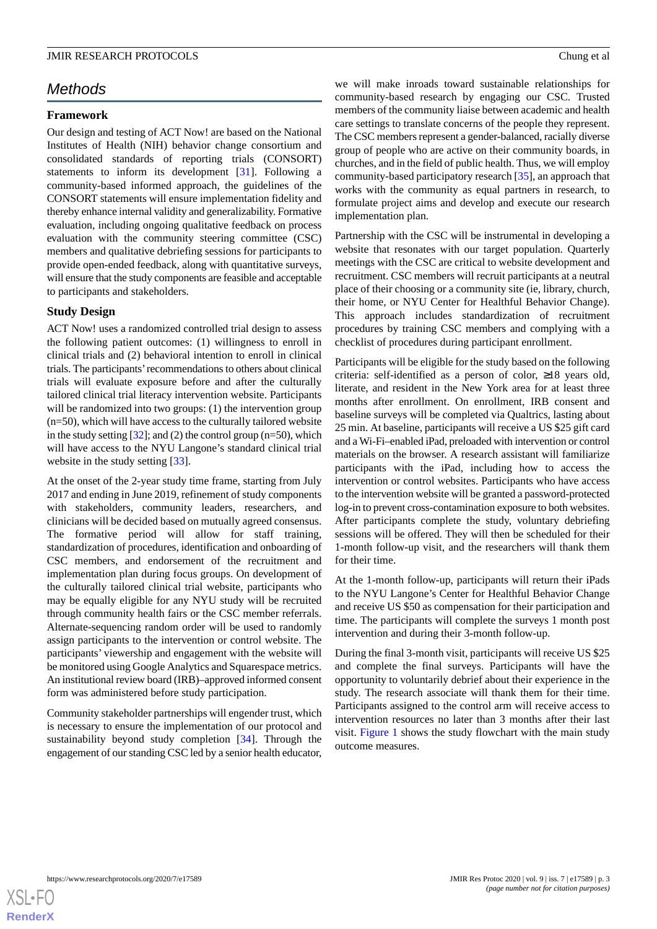# *Methods*

# **Framework**

Our design and testing of ACT Now! are based on the National Institutes of Health (NIH) behavior change consortium and consolidated standards of reporting trials (CONSORT) statements to inform its development [\[31](#page-9-12)]. Following a community-based informed approach, the guidelines of the CONSORT statements will ensure implementation fidelity and thereby enhance internal validity and generalizability. Formative evaluation, including ongoing qualitative feedback on process evaluation with the community steering committee (CSC) members and qualitative debriefing sessions for participants to provide open-ended feedback, along with quantitative surveys, will ensure that the study components are feasible and acceptable to participants and stakeholders.

# **Study Design**

ACT Now! uses a randomized controlled trial design to assess the following patient outcomes: (1) willingness to enroll in clinical trials and (2) behavioral intention to enroll in clinical trials. The participants'recommendations to others about clinical trials will evaluate exposure before and after the culturally tailored clinical trial literacy intervention website. Participants will be randomized into two groups: (1) the intervention group (n=50), which will have access to the culturally tailored website in the study setting  $[32]$  $[32]$  $[32]$ ; and  $(2)$  the control group (n=50), which will have access to the NYU Langone's standard clinical trial website in the study setting [\[33](#page-9-14)].

At the onset of the 2-year study time frame, starting from July 2017 and ending in June 2019, refinement of study components with stakeholders, community leaders, researchers, and clinicians will be decided based on mutually agreed consensus. The formative period will allow for staff training, standardization of procedures, identification and onboarding of CSC members, and endorsement of the recruitment and implementation plan during focus groups. On development of the culturally tailored clinical trial website, participants who may be equally eligible for any NYU study will be recruited through community health fairs or the CSC member referrals. Alternate-sequencing random order will be used to randomly assign participants to the intervention or control website. The participants' viewership and engagement with the website will be monitored using Google Analytics and Squarespace metrics. An institutional review board (IRB)–approved informed consent form was administered before study participation.

Community stakeholder partnerships will engender trust, which is necessary to ensure the implementation of our protocol and sustainability beyond study completion [[34\]](#page-10-0). Through the engagement of our standing CSC led by a senior health educator,

we will make inroads toward sustainable relationships for community-based research by engaging our CSC. Trusted members of the community liaise between academic and health care settings to translate concerns of the people they represent. The CSC members represent a gender-balanced, racially diverse group of people who are active on their community boards, in churches, and in the field of public health. Thus, we will employ community-based participatory research [\[35](#page-10-1)], an approach that works with the community as equal partners in research, to formulate project aims and develop and execute our research implementation plan.

Partnership with the CSC will be instrumental in developing a website that resonates with our target population. Quarterly meetings with the CSC are critical to website development and recruitment. CSC members will recruit participants at a neutral place of their choosing or a community site (ie, library, church, their home, or NYU Center for Healthful Behavior Change). This approach includes standardization of recruitment procedures by training CSC members and complying with a checklist of procedures during participant enrollment.

Participants will be eligible for the study based on the following criteria: self-identified as a person of color, ≥18 years old, literate, and resident in the New York area for at least three months after enrollment. On enrollment, IRB consent and baseline surveys will be completed via Qualtrics, lasting about 25 min. At baseline, participants will receive a US \$25 gift card and a Wi-Fi–enabled iPad, preloaded with intervention or control materials on the browser. A research assistant will familiarize participants with the iPad, including how to access the intervention or control websites. Participants who have access to the intervention website will be granted a password-protected log-in to prevent cross-contamination exposure to both websites. After participants complete the study, voluntary debriefing sessions will be offered. They will then be scheduled for their 1-month follow-up visit, and the researchers will thank them for their time.

At the 1-month follow-up, participants will return their iPads to the NYU Langone's Center for Healthful Behavior Change and receive US \$50 as compensation for their participation and time. The participants will complete the surveys 1 month post intervention and during their 3-month follow-up.

During the final 3-month visit, participants will receive US \$25 and complete the final surveys. Participants will have the opportunity to voluntarily debrief about their experience in the study. The research associate will thank them for their time. Participants assigned to the control arm will receive access to intervention resources no later than 3 months after their last visit. [Figure 1](#page-3-0) shows the study flowchart with the main study outcome measures.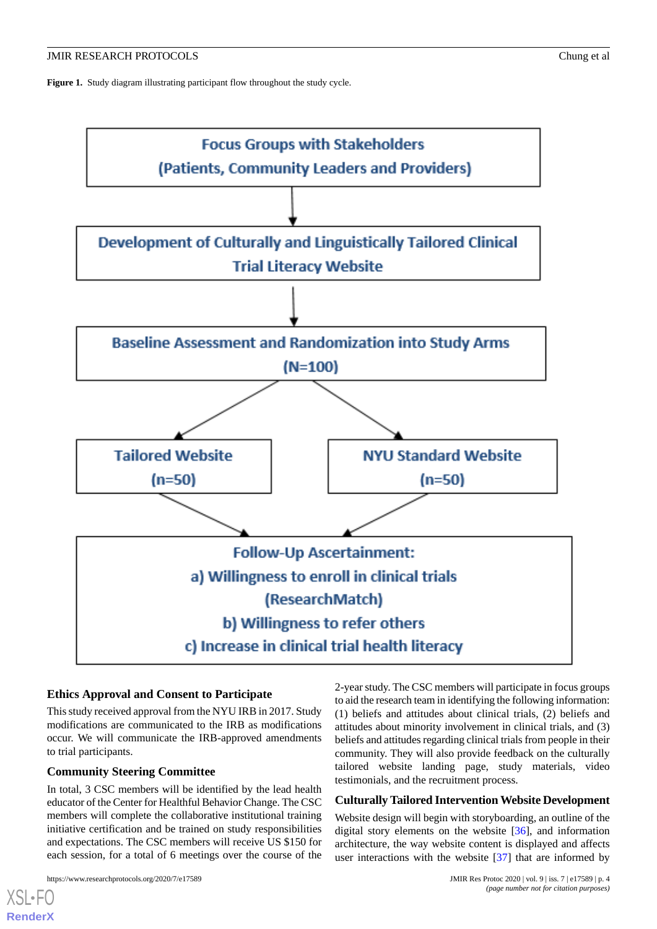<span id="page-3-0"></span>Figure 1. Study diagram illustrating participant flow throughout the study cycle.



### **Ethics Approval and Consent to Participate**

This study received approval from the NYU IRB in 2017. Study modifications are communicated to the IRB as modifications occur. We will communicate the IRB-approved amendments to trial participants.

### **Community Steering Committee**

In total, 3 CSC members will be identified by the lead health educator of the Center for Healthful Behavior Change. The CSC members will complete the collaborative institutional training initiative certification and be trained on study responsibilities and expectations. The CSC members will receive US \$150 for each session, for a total of 6 meetings over the course of the

[XSL](http://www.w3.org/Style/XSL)•FO **[RenderX](http://www.renderx.com/)**

2-year study. The CSC members will participate in focus groups to aid the research team in identifying the following information: (1) beliefs and attitudes about clinical trials, (2) beliefs and attitudes about minority involvement in clinical trials, and (3) beliefs and attitudes regarding clinical trials from people in their community. They will also provide feedback on the culturally tailored website landing page, study materials, video testimonials, and the recruitment process.

#### **Culturally Tailored Intervention Website Development**

Website design will begin with storyboarding, an outline of the digital story elements on the website [[36\]](#page-10-2), and information architecture, the way website content is displayed and affects user interactions with the website [\[37](#page-10-3)] that are informed by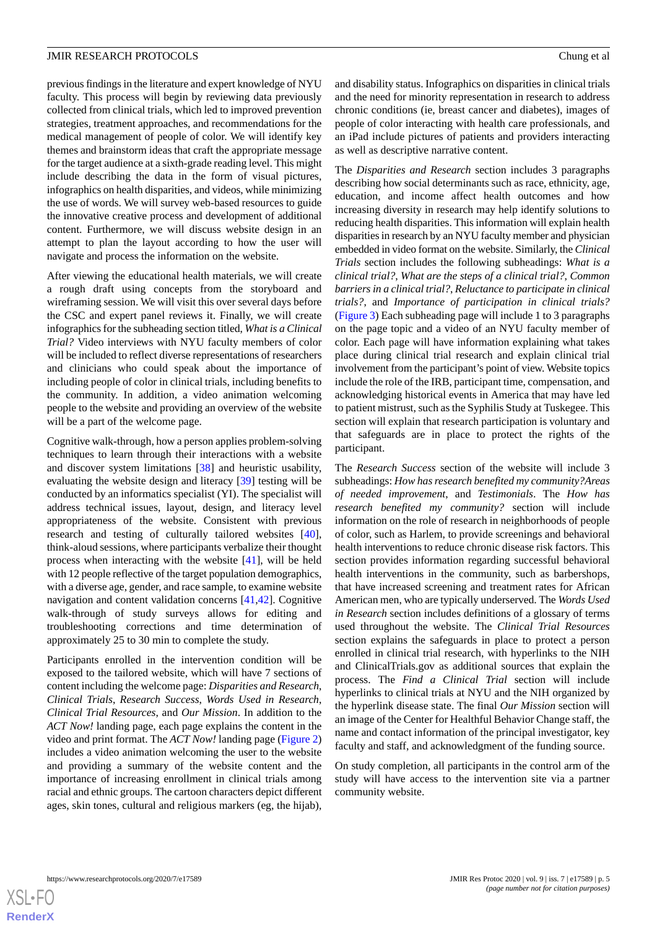previous findings in the literature and expert knowledge of NYU faculty. This process will begin by reviewing data previously collected from clinical trials, which led to improved prevention strategies, treatment approaches, and recommendations for the medical management of people of color. We will identify key themes and brainstorm ideas that craft the appropriate message for the target audience at a sixth-grade reading level. This might include describing the data in the form of visual pictures, infographics on health disparities, and videos, while minimizing the use of words. We will survey web-based resources to guide the innovative creative process and development of additional content. Furthermore, we will discuss website design in an attempt to plan the layout according to how the user will navigate and process the information on the website.

After viewing the educational health materials, we will create a rough draft using concepts from the storyboard and wireframing session. We will visit this over several days before the CSC and expert panel reviews it. Finally, we will create infographics for the subheading section titled, *What is a Clinical Trial?* Video interviews with NYU faculty members of color will be included to reflect diverse representations of researchers and clinicians who could speak about the importance of including people of color in clinical trials, including benefits to the community. In addition, a video animation welcoming people to the website and providing an overview of the website will be a part of the welcome page.

Cognitive walk-through, how a person applies problem-solving techniques to learn through their interactions with a website and discover system limitations [[38\]](#page-10-4) and heuristic usability, evaluating the website design and literacy [[39\]](#page-10-5) testing will be conducted by an informatics specialist (YI). The specialist will address technical issues, layout, design, and literacy level appropriateness of the website. Consistent with previous research and testing of culturally tailored websites [[40\]](#page-10-6), think-aloud sessions, where participants verbalize their thought process when interacting with the website [[41\]](#page-10-7), will be held with 12 people reflective of the target population demographics, with a diverse age, gender, and race sample, to examine website navigation and content validation concerns [\[41](#page-10-7),[42\]](#page-10-8). Cognitive walk-through of study surveys allows for editing and troubleshooting corrections and time determination of approximately 25 to 30 min to complete the study.

Participants enrolled in the intervention condition will be exposed to the tailored website, which will have 7 sections of content including the welcome page: *Disparities and Research*, *Clinical Trials*, *Research Success*, *Words Used in Research*, *Clinical Trial Resources*, and *Our Mission*. In addition to the *ACT Now!* landing page, each page explains the content in the video and print format. The *ACT Now!* landing page ([Figure 2](#page-5-0)) includes a video animation welcoming the user to the website and providing a summary of the website content and the importance of increasing enrollment in clinical trials among racial and ethnic groups. The cartoon characters depict different ages, skin tones, cultural and religious markers (eg, the hijab),

and disability status. Infographics on disparities in clinical trials and the need for minority representation in research to address chronic conditions (ie, breast cancer and diabetes), images of people of color interacting with health care professionals, and an iPad include pictures of patients and providers interacting as well as descriptive narrative content.

The *Disparities and Research* section includes 3 paragraphs describing how social determinants such as race, ethnicity, age, education, and income affect health outcomes and how increasing diversity in research may help identify solutions to reducing health disparities. This information will explain health disparities in research by an NYU faculty member and physician embedded in video format on the website. Similarly, the *Clinical Trials* section includes the following subheadings: *What is a clinical trial?*, *What are the steps of a clinical trial?*, *Common barriers in a clinical trial?*, *Reluctance to participate in clinical trials?*, and *Importance of participation in clinical trials?* ([Figure 3](#page-5-1)) Each subheading page will include 1 to 3 paragraphs on the page topic and a video of an NYU faculty member of color. Each page will have information explaining what takes place during clinical trial research and explain clinical trial involvement from the participant's point of view. Website topics include the role of the IRB, participant time, compensation, and acknowledging historical events in America that may have led to patient mistrust, such as the Syphilis Study at Tuskegee. This section will explain that research participation is voluntary and that safeguards are in place to protect the rights of the participant.

The *Research Success* section of the website will include 3 subheadings: *How has research benefited my community?Areas of needed improvement*, and *Testimonials*. The *How has research benefited my community?* section will include information on the role of research in neighborhoods of people of color, such as Harlem, to provide screenings and behavioral health interventions to reduce chronic disease risk factors. This section provides information regarding successful behavioral health interventions in the community, such as barbershops, that have increased screening and treatment rates for African American men, who are typically underserved. The *Words Used in Research* section includes definitions of a glossary of terms used throughout the website. The *Clinical Trial Resources* section explains the safeguards in place to protect a person enrolled in clinical trial research, with hyperlinks to the NIH and ClinicalTrials.gov as additional sources that explain the process. The *Find a Clinical Trial* section will include hyperlinks to clinical trials at NYU and the NIH organized by the hyperlink disease state. The final *Our Mission* section will an image of the Center for Healthful Behavior Change staff, the name and contact information of the principal investigator, key faculty and staff, and acknowledgment of the funding source.

On study completion, all participants in the control arm of the study will have access to the intervention site via a partner community website.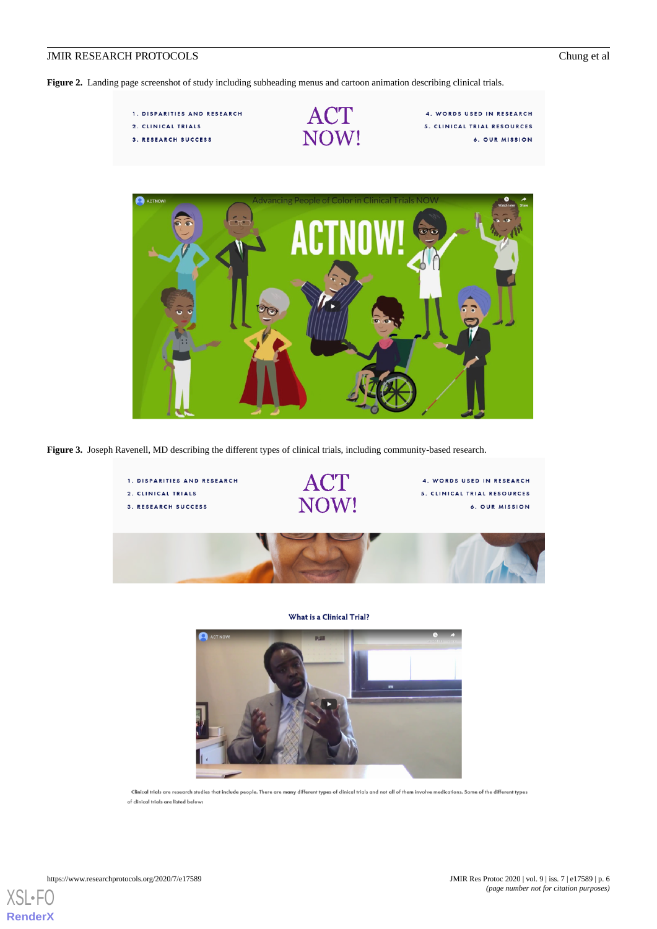<span id="page-5-0"></span>**Figure 2.** Landing page screenshot of study including subheading menus and cartoon animation describing clinical trials.

1. DISPARITIES AND RESEARCH 2. CLINICAL TRIALS 3. RESEARCH SUCCESS



4. WORDS USED IN RESEARCH 5. CLINICAL TRIAL RESOURCES 6. OUR MISSION



<span id="page-5-1"></span>**Figure 3.** Joseph Ravenell, MD describing the different types of clinical trials, including community-based research.



What is a Clinical Trial?



Clinical trials are research studies that include people. There are many different types of clinical trials and not all of them involve medications. Some of the different types of clinical trials are listed below: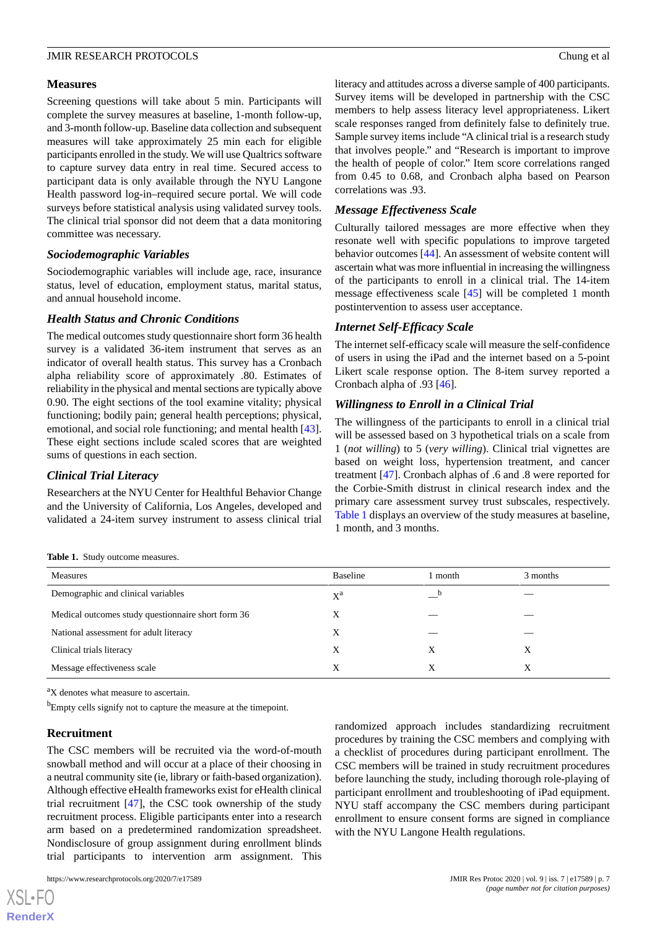#### **Measures**

Screening questions will take about 5 min. Participants will complete the survey measures at baseline, 1-month follow-up, and 3-month follow-up. Baseline data collection and subsequent measures will take approximately 25 min each for eligible participants enrolled in the study. We will use Qualtrics software to capture survey data entry in real time. Secured access to participant data is only available through the NYU Langone Health password log-in–required secure portal. We will code surveys before statistical analysis using validated survey tools. The clinical trial sponsor did not deem that a data monitoring committee was necessary.

### *Sociodemographic Variables*

Sociodemographic variables will include age, race, insurance status, level of education, employment status, marital status, and annual household income.

### *Health Status and Chronic Conditions*

The medical outcomes study questionnaire short form 36 health survey is a validated 36-item instrument that serves as an indicator of overall health status. This survey has a Cronbach alpha reliability score of approximately .80. Estimates of reliability in the physical and mental sections are typically above 0.90. The eight sections of the tool examine vitality; physical functioning; bodily pain; general health perceptions; physical, emotional, and social role functioning; and mental health [[43\]](#page-10-9). These eight sections include scaled scores that are weighted sums of questions in each section.

### *Clinical Trial Literacy*

<span id="page-6-0"></span>Researchers at the NYU Center for Healthful Behavior Change and the University of California, Los Angeles, developed and validated a 24-item survey instrument to assess clinical trial literacy and attitudes across a diverse sample of 400 participants. Survey items will be developed in partnership with the CSC members to help assess literacy level appropriateness. Likert scale responses ranged from definitely false to definitely true. Sample survey items include "A clinical trial is a research study that involves people." and "Research is important to improve the health of people of color." Item score correlations ranged from 0.45 to 0.68, and Cronbach alpha based on Pearson correlations was .93.

# *Message Effectiveness Scale*

Culturally tailored messages are more effective when they resonate well with specific populations to improve targeted behavior outcomes [\[44](#page-10-10)]. An assessment of website content will ascertain what was more influential in increasing the willingness of the participants to enroll in a clinical trial. The 14-item message effectiveness scale [[45\]](#page-10-11) will be completed 1 month postintervention to assess user acceptance.

# *Internet Self-Efficacy Scale*

The internet self-efficacy scale will measure the self-confidence of users in using the iPad and the internet based on a 5-point Likert scale response option. The 8-item survey reported a Cronbach alpha of .93 [\[46](#page-10-12)].

# *Willingness to Enroll in a Clinical Trial*

The willingness of the participants to enroll in a clinical trial will be assessed based on 3 hypothetical trials on a scale from 1 (*not willing*) to 5 (*very willing*). Clinical trial vignettes are based on weight loss, hypertension treatment, and cancer treatment [\[47](#page-10-13)]. Cronbach alphas of .6 and .8 were reported for the Corbie-Smith distrust in clinical research index and the primary care assessment survey trust subscales, respectively. [Table 1](#page-6-0) displays an overview of the study measures at baseline, 1 month, and 3 months.

**Table 1.** Study outcome measures.

| <b>Measures</b>                                    | <b>Baseline</b> | l month | 3 months |
|----------------------------------------------------|-----------------|---------|----------|
| Demographic and clinical variables                 | $X^a$           | b       |          |
| Medical outcomes study questionnaire short form 36 | Χ               |         |          |
| National assessment for adult literacy             | Х               |         |          |
| Clinical trials literacy                           | X               | X       | X        |
| Message effectiveness scale                        | Х               | X       | X        |

<sup>a</sup>X denotes what measure to ascertain.

<sup>b</sup>Empty cells signify not to capture the measure at the timepoint.

### **Recruitment**

 $XS$ -FO **[RenderX](http://www.renderx.com/)**

The CSC members will be recruited via the word-of-mouth snowball method and will occur at a place of their choosing in a neutral community site (ie, library or faith-based organization). Although effective eHealth frameworks exist for eHealth clinical trial recruitment [[47\]](#page-10-13), the CSC took ownership of the study recruitment process. Eligible participants enter into a research arm based on a predetermined randomization spreadsheet. Nondisclosure of group assignment during enrollment blinds trial participants to intervention arm assignment. This

randomized approach includes standardizing recruitment procedures by training the CSC members and complying with a checklist of procedures during participant enrollment. The CSC members will be trained in study recruitment procedures before launching the study, including thorough role-playing of participant enrollment and troubleshooting of iPad equipment. NYU staff accompany the CSC members during participant enrollment to ensure consent forms are signed in compliance with the NYU Langone Health regulations.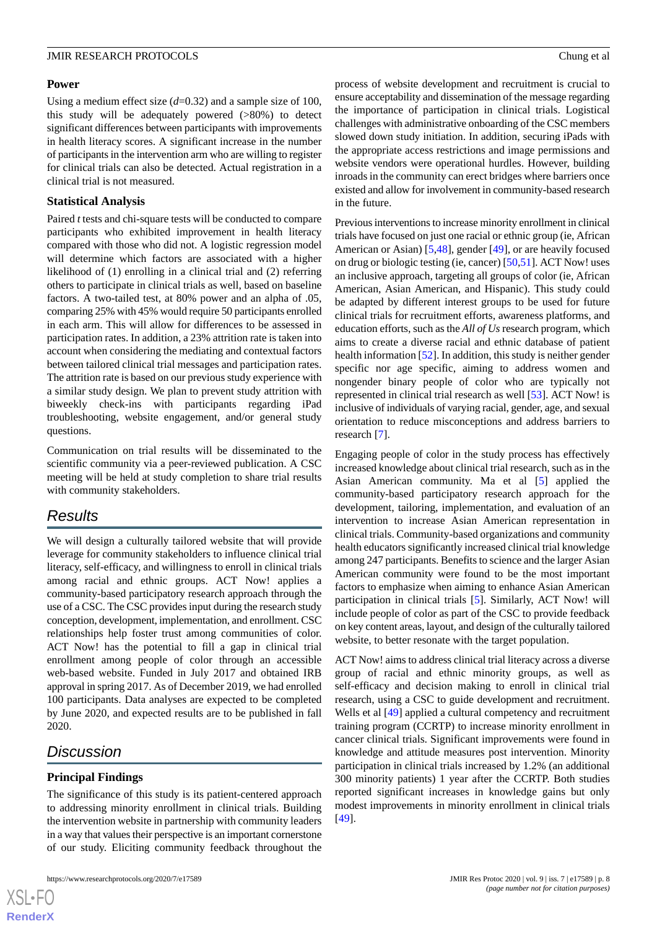# **Power**

Using a medium effect size (*d*=0.32) and a sample size of 100, this study will be adequately powered (>80%) to detect significant differences between participants with improvements in health literacy scores. A significant increase in the number of participants in the intervention arm who are willing to register for clinical trials can also be detected. Actual registration in a clinical trial is not measured.

# **Statistical Analysis**

Paired *t* tests and chi-square tests will be conducted to compare participants who exhibited improvement in health literacy compared with those who did not. A logistic regression model will determine which factors are associated with a higher likelihood of (1) enrolling in a clinical trial and (2) referring others to participate in clinical trials as well, based on baseline factors. A two-tailed test, at 80% power and an alpha of .05, comparing 25% with 45% would require 50 participants enrolled in each arm. This will allow for differences to be assessed in participation rates. In addition, a 23% attrition rate is taken into account when considering the mediating and contextual factors between tailored clinical trial messages and participation rates. The attrition rate is based on our previous study experience with a similar study design. We plan to prevent study attrition with biweekly check-ins with participants regarding iPad troubleshooting, website engagement, and/or general study questions.

Communication on trial results will be disseminated to the scientific community via a peer-reviewed publication. A CSC meeting will be held at study completion to share trial results with community stakeholders.

# *Results*

We will design a culturally tailored website that will provide leverage for community stakeholders to influence clinical trial literacy, self-efficacy, and willingness to enroll in clinical trials among racial and ethnic groups. ACT Now! applies a community-based participatory research approach through the use of a CSC. The CSC provides input during the research study conception, development, implementation, and enrollment. CSC relationships help foster trust among communities of color. ACT Now! has the potential to fill a gap in clinical trial enrollment among people of color through an accessible web-based website. Funded in July 2017 and obtained IRB approval in spring 2017. As of December 2019, we had enrolled 100 participants. Data analyses are expected to be completed by June 2020, and expected results are to be published in fall 2020.

# *Discussion*

 $XS$ -FO **[RenderX](http://www.renderx.com/)**

# **Principal Findings**

The significance of this study is its patient-centered approach to addressing minority enrollment in clinical trials. Building the intervention website in partnership with community leaders in a way that values their perspective is an important cornerstone of our study. Eliciting community feedback throughout the

process of website development and recruitment is crucial to ensure acceptability and dissemination of the message regarding the importance of participation in clinical trials. Logistical challenges with administrative onboarding of the CSC members slowed down study initiation. In addition, securing iPads with the appropriate access restrictions and image permissions and website vendors were operational hurdles. However, building inroads in the community can erect bridges where barriers once existed and allow for involvement in community-based research in the future.

Previous interventions to increase minority enrollment in clinical trials have focused on just one racial or ethnic group (ie, African American or Asian) [\[5](#page-8-4),[48\]](#page-10-14), gender [[49\]](#page-10-15), or are heavily focused on drug or biologic testing (ie, cancer) [\[50](#page-10-16),[51\]](#page-10-17). ACT Now! uses an inclusive approach, targeting all groups of color (ie, African American, Asian American, and Hispanic). This study could be adapted by different interest groups to be used for future clinical trials for recruitment efforts, awareness platforms, and education efforts, such as the *All of Us* research program, which aims to create a diverse racial and ethnic database of patient health information [\[52](#page-10-18)]. In addition, this study is neither gender specific nor age specific, aiming to address women and nongender binary people of color who are typically not represented in clinical trial research as well [\[53](#page-10-19)]. ACT Now! is inclusive of individuals of varying racial, gender, age, and sexual orientation to reduce misconceptions and address barriers to research [[7\]](#page-8-6).

Engaging people of color in the study process has effectively increased knowledge about clinical trial research, such as in the Asian American community. Ma et al [\[5](#page-8-4)] applied the community-based participatory research approach for the development, tailoring, implementation, and evaluation of an intervention to increase Asian American representation in clinical trials. Community-based organizations and community health educators significantly increased clinical trial knowledge among 247 participants. Benefits to science and the larger Asian American community were found to be the most important factors to emphasize when aiming to enhance Asian American participation in clinical trials [[5\]](#page-8-4). Similarly, ACT Now! will include people of color as part of the CSC to provide feedback on key content areas, layout, and design of the culturally tailored website, to better resonate with the target population.

ACT Now! aims to address clinical trial literacy across a diverse group of racial and ethnic minority groups, as well as self-efficacy and decision making to enroll in clinical trial research, using a CSC to guide development and recruitment. Wells et al [\[49](#page-10-15)] applied a cultural competency and recruitment training program (CCRTP) to increase minority enrollment in cancer clinical trials. Significant improvements were found in knowledge and attitude measures post intervention. Minority participation in clinical trials increased by 1.2% (an additional 300 minority patients) 1 year after the CCRTP. Both studies reported significant increases in knowledge gains but only modest improvements in minority enrollment in clinical trials [[49\]](#page-10-15).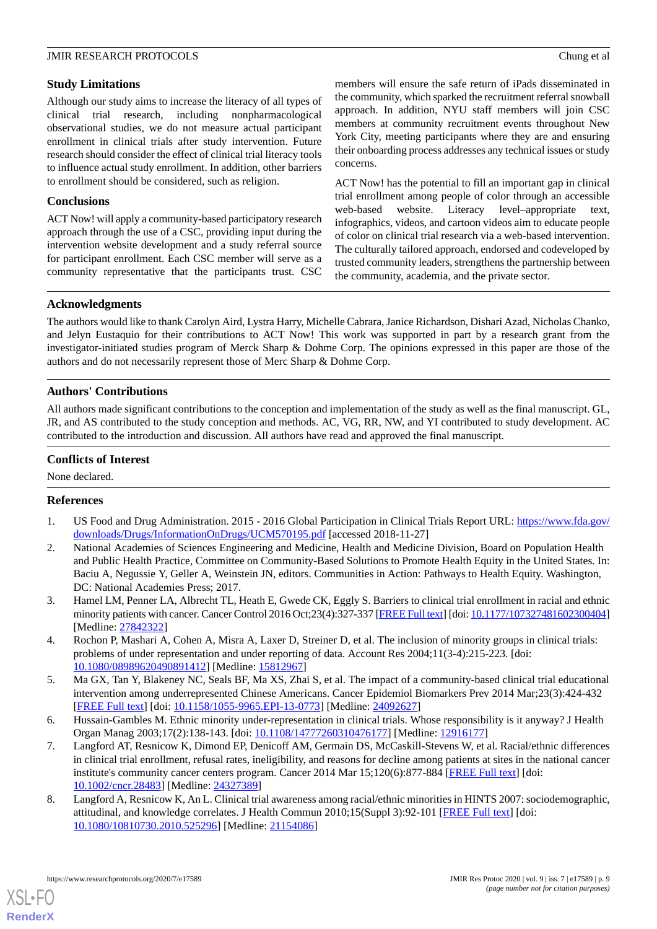# **Study Limitations**

Although our study aims to increase the literacy of all types of clinical trial research, including nonpharmacological observational studies, we do not measure actual participant enrollment in clinical trials after study intervention. Future research should consider the effect of clinical trial literacy tools to influence actual study enrollment. In addition, other barriers to enrollment should be considered, such as religion.

# **Conclusions**

ACT Now! will apply a community-based participatory research approach through the use of a CSC, providing input during the intervention website development and a study referral source for participant enrollment. Each CSC member will serve as a community representative that the participants trust. CSC members will ensure the safe return of iPads disseminated in the community, which sparked the recruitment referral snowball approach. In addition, NYU staff members will join CSC members at community recruitment events throughout New York City, meeting participants where they are and ensuring their onboarding process addresses any technical issues or study concerns.

ACT Now! has the potential to fill an important gap in clinical trial enrollment among people of color through an accessible web-based website. Literacy level–appropriate text, infographics, videos, and cartoon videos aim to educate people of color on clinical trial research via a web-based intervention. The culturally tailored approach, endorsed and codeveloped by trusted community leaders, strengthens the partnership between the community, academia, and the private sector.

# **Acknowledgments**

The authors would like to thank Carolyn Aird, Lystra Harry, Michelle Cabrara, Janice Richardson, Dishari Azad, Nicholas Chanko, and Jelyn Eustaquio for their contributions to ACT Now! This work was supported in part by a research grant from the investigator-initiated studies program of Merck Sharp & Dohme Corp. The opinions expressed in this paper are those of the authors and do not necessarily represent those of Merc Sharp & Dohme Corp.

# **Authors' Contributions**

All authors made significant contributions to the conception and implementation of the study as well as the final manuscript. GL, JR, and AS contributed to the study conception and methods. AC, VG, RR, NW, and YI contributed to study development. AC contributed to the introduction and discussion. All authors have read and approved the final manuscript.

# **Conflicts of Interest**

<span id="page-8-0"></span>None declared.

# <span id="page-8-1"></span>**References**

- 1. US Food and Drug Administration. 2015 2016 Global Participation in Clinical Trials Report URL: [https://www.fda.gov/](https://www.fda.gov/downloads/Drugs/InformationOnDrugs/UCM570195.pdf) [downloads/Drugs/InformationOnDrugs/UCM570195.pdf](https://www.fda.gov/downloads/Drugs/InformationOnDrugs/UCM570195.pdf) [accessed 2018-11-27]
- <span id="page-8-2"></span>2. National Academies of Sciences Engineering and Medicine, Health and Medicine Division, Board on Population Health and Public Health Practice, Committee on Community-Based Solutions to Promote Health Equity in the United States. In: Baciu A, Negussie Y, Geller A, Weinstein JN, editors. Communities in Action: Pathways to Health Equity. Washington, DC: National Academies Press; 2017.
- <span id="page-8-4"></span><span id="page-8-3"></span>3. Hamel LM, Penner LA, Albrecht TL, Heath E, Gwede CK, Eggly S. Barriers to clinical trial enrollment in racial and ethnic minority patients with cancer. Cancer Control 2016 Oct;23(4):327-337 [[FREE Full text\]](http://europepmc.org/abstract/MED/27842322) [doi: [10.1177/107327481602300404\]](http://dx.doi.org/10.1177/107327481602300404) [Medline: [27842322](http://www.ncbi.nlm.nih.gov/entrez/query.fcgi?cmd=Retrieve&db=PubMed&list_uids=27842322&dopt=Abstract)]
- <span id="page-8-5"></span>4. Rochon P, Mashari A, Cohen A, Misra A, Laxer D, Streiner D, et al. The inclusion of minority groups in clinical trials: problems of under representation and under reporting of data. Account Res 2004;11(3-4):215-223. [doi: [10.1080/08989620490891412\]](http://dx.doi.org/10.1080/08989620490891412) [Medline: [15812967\]](http://www.ncbi.nlm.nih.gov/entrez/query.fcgi?cmd=Retrieve&db=PubMed&list_uids=15812967&dopt=Abstract)
- <span id="page-8-6"></span>5. Ma GX, Tan Y, Blakeney NC, Seals BF, Ma XS, Zhai S, et al. The impact of a community-based clinical trial educational intervention among underrepresented Chinese Americans. Cancer Epidemiol Biomarkers Prev 2014 Mar;23(3):424-432 [[FREE Full text](http://cebp.aacrjournals.org/cgi/pmidlookup?view=long&pmid=24092627)] [doi: [10.1158/1055-9965.EPI-13-0773](http://dx.doi.org/10.1158/1055-9965.EPI-13-0773)] [Medline: [24092627](http://www.ncbi.nlm.nih.gov/entrez/query.fcgi?cmd=Retrieve&db=PubMed&list_uids=24092627&dopt=Abstract)]
- 6. Hussain-Gambles M. Ethnic minority under-representation in clinical trials. Whose responsibility is it anyway? J Health Organ Manag 2003;17(2):138-143. [doi: [10.1108/14777260310476177](http://dx.doi.org/10.1108/14777260310476177)] [Medline: [12916177](http://www.ncbi.nlm.nih.gov/entrez/query.fcgi?cmd=Retrieve&db=PubMed&list_uids=12916177&dopt=Abstract)]
- 7. Langford AT, Resnicow K, Dimond EP, Denicoff AM, Germain DS, McCaskill-Stevens W, et al. Racial/ethnic differences in clinical trial enrollment, refusal rates, ineligibility, and reasons for decline among patients at sites in the national cancer institute's community cancer centers program. Cancer 2014 Mar 15;120(6):877-884 [\[FREE Full text\]](https://doi.org/10.1002/cncr.28483) [doi: [10.1002/cncr.28483\]](http://dx.doi.org/10.1002/cncr.28483) [Medline: [24327389\]](http://www.ncbi.nlm.nih.gov/entrez/query.fcgi?cmd=Retrieve&db=PubMed&list_uids=24327389&dopt=Abstract)
- 8. Langford A, Resnicow K, An L. Clinical trial awareness among racial/ethnic minorities in HINTS 2007: sociodemographic, attitudinal, and knowledge correlates. J Health Commun 2010;15(Suppl 3):92-101 [[FREE Full text\]](http://europepmc.org/abstract/MED/21154086) [doi: [10.1080/10810730.2010.525296\]](http://dx.doi.org/10.1080/10810730.2010.525296) [Medline: [21154086\]](http://www.ncbi.nlm.nih.gov/entrez/query.fcgi?cmd=Retrieve&db=PubMed&list_uids=21154086&dopt=Abstract)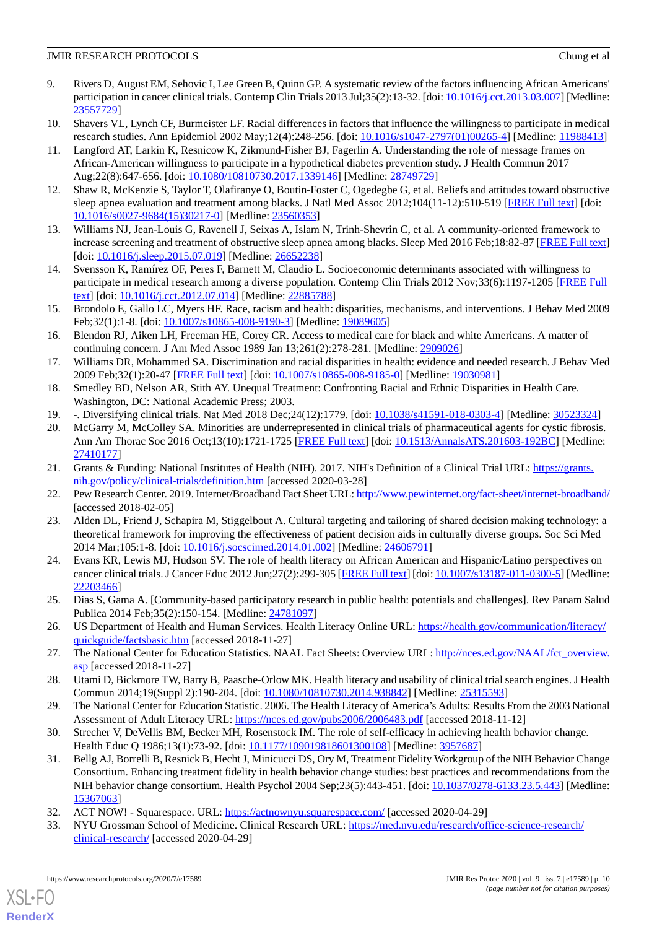- 9. Rivers D, August EM, Sehovic I, Lee Green B, Quinn GP. A systematic review of the factors influencing African Americans' participation in cancer clinical trials. Contemp Clin Trials 2013 Jul;35(2):13-32. [doi: [10.1016/j.cct.2013.03.007](http://dx.doi.org/10.1016/j.cct.2013.03.007)] [Medline: [23557729](http://www.ncbi.nlm.nih.gov/entrez/query.fcgi?cmd=Retrieve&db=PubMed&list_uids=23557729&dopt=Abstract)]
- 10. Shavers VL, Lynch CF, Burmeister LF. Racial differences in factors that influence the willingness to participate in medical research studies. Ann Epidemiol 2002 May;12(4):248-256. [doi: [10.1016/s1047-2797\(01\)00265-4](http://dx.doi.org/10.1016/s1047-2797(01)00265-4)] [Medline: [11988413](http://www.ncbi.nlm.nih.gov/entrez/query.fcgi?cmd=Retrieve&db=PubMed&list_uids=11988413&dopt=Abstract)]
- 11. Langford AT, Larkin K, Resnicow K, Zikmund-Fisher BJ, Fagerlin A. Understanding the role of message frames on African-American willingness to participate in a hypothetical diabetes prevention study. J Health Commun 2017 Aug;22(8):647-656. [doi: [10.1080/10810730.2017.1339146\]](http://dx.doi.org/10.1080/10810730.2017.1339146) [Medline: [28749729\]](http://www.ncbi.nlm.nih.gov/entrez/query.fcgi?cmd=Retrieve&db=PubMed&list_uids=28749729&dopt=Abstract)
- 12. Shaw R, McKenzie S, Taylor T, Olafiranye O, Boutin-Foster C, Ogedegbe G, et al. Beliefs and attitudes toward obstructive sleep apnea evaluation and treatment among blacks. J Natl Med Assoc 2012;104(11-12):510-519 [\[FREE Full text](http://europepmc.org/abstract/MED/23560353)] [doi: [10.1016/s0027-9684\(15\)30217-0](http://dx.doi.org/10.1016/s0027-9684(15)30217-0)] [Medline: [23560353\]](http://www.ncbi.nlm.nih.gov/entrez/query.fcgi?cmd=Retrieve&db=PubMed&list_uids=23560353&dopt=Abstract)
- 13. Williams NJ, Jean-Louis G, Ravenell J, Seixas A, Islam N, Trinh-Shevrin C, et al. A community-oriented framework to increase screening and treatment of obstructive sleep apnea among blacks. Sleep Med 2016 Feb;18:82-87 [[FREE Full text](http://europepmc.org/abstract/MED/26652238)] [doi: [10.1016/j.sleep.2015.07.019\]](http://dx.doi.org/10.1016/j.sleep.2015.07.019) [Medline: [26652238](http://www.ncbi.nlm.nih.gov/entrez/query.fcgi?cmd=Retrieve&db=PubMed&list_uids=26652238&dopt=Abstract)]
- 14. Svensson K, Ramírez OF, Peres F, Barnett M, Claudio L. Socioeconomic determinants associated with willingness to participate in medical research among a diverse population. Contemp Clin Trials 2012 Nov;33(6):1197-1205 [\[FREE Full](http://europepmc.org/abstract/MED/22885788) [text](http://europepmc.org/abstract/MED/22885788)] [doi: [10.1016/j.cct.2012.07.014](http://dx.doi.org/10.1016/j.cct.2012.07.014)] [Medline: [22885788](http://www.ncbi.nlm.nih.gov/entrez/query.fcgi?cmd=Retrieve&db=PubMed&list_uids=22885788&dopt=Abstract)]
- 15. Brondolo E, Gallo LC, Myers HF. Race, racism and health: disparities, mechanisms, and interventions. J Behav Med 2009 Feb;32(1):1-8. [doi: [10.1007/s10865-008-9190-3\]](http://dx.doi.org/10.1007/s10865-008-9190-3) [Medline: [19089605](http://www.ncbi.nlm.nih.gov/entrez/query.fcgi?cmd=Retrieve&db=PubMed&list_uids=19089605&dopt=Abstract)]
- 16. Blendon RJ, Aiken LH, Freeman HE, Corey CR. Access to medical care for black and white Americans. A matter of continuing concern. J Am Med Assoc 1989 Jan 13;261(2):278-281. [Medline: [2909026\]](http://www.ncbi.nlm.nih.gov/entrez/query.fcgi?cmd=Retrieve&db=PubMed&list_uids=2909026&dopt=Abstract)
- <span id="page-9-1"></span><span id="page-9-0"></span>17. Williams DR, Mohammed SA. Discrimination and racial disparities in health: evidence and needed research. J Behav Med 2009 Feb;32(1):20-47 [\[FREE Full text\]](http://europepmc.org/abstract/MED/19030981) [doi: [10.1007/s10865-008-9185-0](http://dx.doi.org/10.1007/s10865-008-9185-0)] [Medline: [19030981\]](http://www.ncbi.nlm.nih.gov/entrez/query.fcgi?cmd=Retrieve&db=PubMed&list_uids=19030981&dopt=Abstract)
- <span id="page-9-2"></span>18. Smedley BD, Nelson AR, Stith AY. Unequal Treatment: Confronting Racial and Ethnic Disparities in Health Care. Washington, DC: National Academic Press; 2003.
- 19. -. Diversifying clinical trials. Nat Med 2018 Dec;24(12):1779. [doi: [10.1038/s41591-018-0303-4\]](http://dx.doi.org/10.1038/s41591-018-0303-4) [Medline: [30523324](http://www.ncbi.nlm.nih.gov/entrez/query.fcgi?cmd=Retrieve&db=PubMed&list_uids=30523324&dopt=Abstract)]
- <span id="page-9-4"></span><span id="page-9-3"></span>20. McGarry M, McColley SA. Minorities are underrepresented in clinical trials of pharmaceutical agents for cystic fibrosis. Ann Am Thorac Soc 2016 Oct;13(10):1721-1725 [\[FREE Full text\]](http://europepmc.org/abstract/MED/27410177) [doi: [10.1513/AnnalsATS.201603-192BC\]](http://dx.doi.org/10.1513/AnnalsATS.201603-192BC) [Medline: [27410177](http://www.ncbi.nlm.nih.gov/entrez/query.fcgi?cmd=Retrieve&db=PubMed&list_uids=27410177&dopt=Abstract)]
- <span id="page-9-5"></span>21. Grants & Funding: National Institutes of Health (NIH). 2017. NIH's Definition of a Clinical Trial URL: [https://grants.](https://grants.nih.gov/policy/clinical-trials/definition.htm) [nih.gov/policy/clinical-trials/definition.htm](https://grants.nih.gov/policy/clinical-trials/definition.htm) [accessed 2020-03-28]
- <span id="page-9-6"></span>22. Pew Research Center. 2019. Internet/Broadband Fact Sheet URL:<http://www.pewinternet.org/fact-sheet/internet-broadband/> [accessed 2018-02-05]
- <span id="page-9-7"></span>23. Alden DL, Friend J, Schapira M, Stiggelbout A. Cultural targeting and tailoring of shared decision making technology: a theoretical framework for improving the effectiveness of patient decision aids in culturally diverse groups. Soc Sci Med 2014 Mar;105:1-8. [doi: [10.1016/j.socscimed.2014.01.002\]](http://dx.doi.org/10.1016/j.socscimed.2014.01.002) [Medline: [24606791](http://www.ncbi.nlm.nih.gov/entrez/query.fcgi?cmd=Retrieve&db=PubMed&list_uids=24606791&dopt=Abstract)]
- <span id="page-9-8"></span>24. Evans KR, Lewis MJ, Hudson SV. The role of health literacy on African American and Hispanic/Latino perspectives on cancer clinical trials. J Cancer Educ 2012 Jun;27(2):299-305 [[FREE Full text\]](http://europepmc.org/abstract/MED/22203466) [doi: [10.1007/s13187-011-0300-5](http://dx.doi.org/10.1007/s13187-011-0300-5)] [Medline: [22203466](http://www.ncbi.nlm.nih.gov/entrez/query.fcgi?cmd=Retrieve&db=PubMed&list_uids=22203466&dopt=Abstract)]
- <span id="page-9-9"></span>25. Dias S, Gama A. [Community-based participatory research in public health: potentials and challenges]. Rev Panam Salud Publica 2014 Feb;35(2):150-154. [Medline: [24781097](http://www.ncbi.nlm.nih.gov/entrez/query.fcgi?cmd=Retrieve&db=PubMed&list_uids=24781097&dopt=Abstract)]
- <span id="page-9-10"></span>26. US Department of Health and Human Services. Health Literacy Online URL: [https://health.gov/communication/literacy/](https://health.gov/communication/literacy/quickguide/factsbasic.htm) [quickguide/factsbasic.htm](https://health.gov/communication/literacy/quickguide/factsbasic.htm) [accessed 2018-11-27]
- <span id="page-9-11"></span>27. The National Center for Education Statistics. NAAL Fact Sheets: Overview URL: [http://nces.ed.gov/NAAL/fct\\_overview.](http://nces.ed.gov/NAAL/fct_overview.asp) [asp](http://nces.ed.gov/NAAL/fct_overview.asp) [accessed 2018-11-27]
- <span id="page-9-12"></span>28. Utami D, Bickmore TW, Barry B, Paasche-Orlow MK. Health literacy and usability of clinical trial search engines. J Health Commun 2014;19(Suppl 2):190-204. [doi: [10.1080/10810730.2014.938842](http://dx.doi.org/10.1080/10810730.2014.938842)] [Medline: [25315593](http://www.ncbi.nlm.nih.gov/entrez/query.fcgi?cmd=Retrieve&db=PubMed&list_uids=25315593&dopt=Abstract)]
- 29. The National Center for Education Statistic. 2006. The Health Literacy of America's Adults: Results From the 2003 National Assessment of Adult Literacy URL:<https://nces.ed.gov/pubs2006/2006483.pdf> [accessed 2018-11-12]
- <span id="page-9-14"></span><span id="page-9-13"></span>30. Strecher V, DeVellis BM, Becker MH, Rosenstock IM. The role of self-efficacy in achieving health behavior change. Health Educ Q 1986;13(1):73-92. [doi: [10.1177/109019818601300108\]](http://dx.doi.org/10.1177/109019818601300108) [Medline: [3957687](http://www.ncbi.nlm.nih.gov/entrez/query.fcgi?cmd=Retrieve&db=PubMed&list_uids=3957687&dopt=Abstract)]
- 31. Bellg AJ, Borrelli B, Resnick B, Hecht J, Minicucci DS, Ory M, Treatment Fidelity Workgroup of the NIH Behavior Change Consortium. Enhancing treatment fidelity in health behavior change studies: best practices and recommendations from the NIH behavior change consortium. Health Psychol 2004 Sep;23(5):443-451. [doi: [10.1037/0278-6133.23.5.443\]](http://dx.doi.org/10.1037/0278-6133.23.5.443) [Medline: [15367063](http://www.ncbi.nlm.nih.gov/entrez/query.fcgi?cmd=Retrieve&db=PubMed&list_uids=15367063&dopt=Abstract)]
- 32. ACT NOW! Squarespace. URL:<https://actnownyu.squarespace.com/> [accessed 2020-04-29]
- 33. NYU Grossman School of Medicine. Clinical Research URL: [https://med.nyu.edu/research/office-science-research/](https://med.nyu.edu/research/office-science-research/clinical-research/) [clinical-research/](https://med.nyu.edu/research/office-science-research/clinical-research/) [accessed 2020-04-29]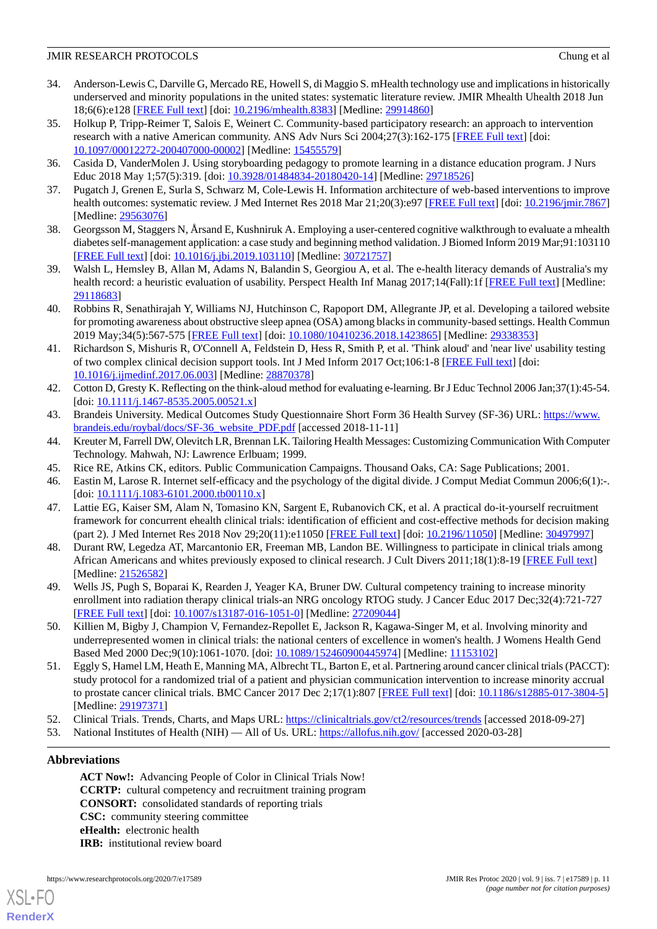- <span id="page-10-0"></span>34. Anderson-Lewis C, Darville G, Mercado RE, Howell S, di Maggio S. mHealth technology use and implications in historically underserved and minority populations in the united states: systematic literature review. JMIR Mhealth Uhealth 2018 Jun 18;6(6):e128 [\[FREE Full text](https://mhealth.jmir.org/2018/6/e128/)] [doi: [10.2196/mhealth.8383\]](http://dx.doi.org/10.2196/mhealth.8383) [Medline: [29914860](http://www.ncbi.nlm.nih.gov/entrez/query.fcgi?cmd=Retrieve&db=PubMed&list_uids=29914860&dopt=Abstract)]
- <span id="page-10-1"></span>35. Holkup P, Tripp-Reimer T, Salois E, Weinert C. Community-based participatory research: an approach to intervention research with a native American community. ANS Adv Nurs Sci 2004;27(3):162-175 [[FREE Full text](http://europepmc.org/abstract/MED/15455579)] [doi: [10.1097/00012272-200407000-00002](http://dx.doi.org/10.1097/00012272-200407000-00002)] [Medline: [15455579](http://www.ncbi.nlm.nih.gov/entrez/query.fcgi?cmd=Retrieve&db=PubMed&list_uids=15455579&dopt=Abstract)]
- <span id="page-10-3"></span><span id="page-10-2"></span>36. Casida D, VanderMolen J. Using storyboarding pedagogy to promote learning in a distance education program. J Nurs Educ 2018 May 1;57(5):319. [doi: [10.3928/01484834-20180420-14](http://dx.doi.org/10.3928/01484834-20180420-14)] [Medline: [29718526](http://www.ncbi.nlm.nih.gov/entrez/query.fcgi?cmd=Retrieve&db=PubMed&list_uids=29718526&dopt=Abstract)]
- <span id="page-10-4"></span>37. Pugatch J, Grenen E, Surla S, Schwarz M, Cole-Lewis H. Information architecture of web-based interventions to improve health outcomes: systematic review. J Med Internet Res 2018 Mar 21;20(3):e97 [\[FREE Full text\]](https://www.jmir.org/2018/3/e97/) [doi: [10.2196/jmir.7867](http://dx.doi.org/10.2196/jmir.7867)] [Medline: [29563076](http://www.ncbi.nlm.nih.gov/entrez/query.fcgi?cmd=Retrieve&db=PubMed&list_uids=29563076&dopt=Abstract)]
- <span id="page-10-5"></span>38. Georgsson M, Staggers N, Årsand E, Kushniruk A. Employing a user-centered cognitive walkthrough to evaluate a mhealth diabetes self-management application: a case study and beginning method validation. J Biomed Inform 2019 Mar;91:103110 [[FREE Full text](https://linkinghub.elsevier.com/retrieve/pii/S1532-0464(19)30028-0)] [doi: [10.1016/j.jbi.2019.103110\]](http://dx.doi.org/10.1016/j.jbi.2019.103110) [Medline: [30721757](http://www.ncbi.nlm.nih.gov/entrez/query.fcgi?cmd=Retrieve&db=PubMed&list_uids=30721757&dopt=Abstract)]
- <span id="page-10-6"></span>39. Walsh L, Hemsley B, Allan M, Adams N, Balandin S, Georgiou A, et al. The e-health literacy demands of Australia's my health record: a heuristic evaluation of usability. Perspect Health Inf Manag 2017;14(Fall):1f [\[FREE Full text\]](http://europepmc.org/abstract/MED/29118683) [Medline: [29118683](http://www.ncbi.nlm.nih.gov/entrez/query.fcgi?cmd=Retrieve&db=PubMed&list_uids=29118683&dopt=Abstract)]
- <span id="page-10-7"></span>40. Robbins R, Senathirajah Y, Williams NJ, Hutchinson C, Rapoport DM, Allegrante JP, et al. Developing a tailored website for promoting awareness about obstructive sleep apnea (OSA) among blacks in community-based settings. Health Commun 2019 May;34(5):567-575 [[FREE Full text](http://europepmc.org/abstract/MED/29338353)] [doi: [10.1080/10410236.2018.1423865\]](http://dx.doi.org/10.1080/10410236.2018.1423865) [Medline: [29338353](http://www.ncbi.nlm.nih.gov/entrez/query.fcgi?cmd=Retrieve&db=PubMed&list_uids=29338353&dopt=Abstract)]
- <span id="page-10-8"></span>41. Richardson S, Mishuris R, O'Connell A, Feldstein D, Hess R, Smith P, et al. 'Think aloud' and 'near live' usability testing of two complex clinical decision support tools. Int J Med Inform 2017 Oct;106:1-8 [\[FREE Full text](http://europepmc.org/abstract/MED/28870378)] [doi: [10.1016/j.ijmedinf.2017.06.003\]](http://dx.doi.org/10.1016/j.ijmedinf.2017.06.003) [Medline: [28870378](http://www.ncbi.nlm.nih.gov/entrez/query.fcgi?cmd=Retrieve&db=PubMed&list_uids=28870378&dopt=Abstract)]
- <span id="page-10-10"></span><span id="page-10-9"></span>42. Cotton D, Gresty K. Reflecting on the think-aloud method for evaluating e-learning. Br J Educ Technol 2006 Jan;37(1):45-54.  $\left[$ doi:  $\frac{10.1111}{i}$ .1467-8535.2005.00521.x]
- <span id="page-10-11"></span>43. Brandeis University. Medical Outcomes Study Questionnaire Short Form 36 Health Survey (SF-36) URL: [https://www.](https://www.brandeis.edu/roybal/docs/SF-36_website_PDF.pdf) [brandeis.edu/roybal/docs/SF-36\\_website\\_PDF.pdf](https://www.brandeis.edu/roybal/docs/SF-36_website_PDF.pdf) [accessed 2018-11-11]
- <span id="page-10-12"></span>44. Kreuter M, Farrell DW, Olevitch LR, Brennan LK. Tailoring Health Messages: Customizing Communication With Computer Technology. Mahwah, NJ: Lawrence Erlbuam; 1999.
- <span id="page-10-13"></span>45. Rice RE, Atkins CK, editors. Public Communication Campaigns. Thousand Oaks, CA: Sage Publications; 2001.
- <span id="page-10-14"></span>46. Eastin M, Larose R. Internet self-efficacy and the psychology of the digital divide. J Comput Mediat Commun 2006;6(1):-.  $\left[$ doi:  $\frac{10.1111}{i}$ .1083-6101.2000.tb00110.x]
- 47. Lattie EG, Kaiser SM, Alam N, Tomasino KN, Sargent E, Rubanovich CK, et al. A practical do-it-yourself recruitment framework for concurrent ehealth clinical trials: identification of efficient and cost-effective methods for decision making (part 2). J Med Internet Res 2018 Nov 29;20(11):e11050 [\[FREE Full text\]](https://www.jmir.org/2018/11/e11050/) [doi: [10.2196/11050](http://dx.doi.org/10.2196/11050)] [Medline: [30497997\]](http://www.ncbi.nlm.nih.gov/entrez/query.fcgi?cmd=Retrieve&db=PubMed&list_uids=30497997&dopt=Abstract)
- <span id="page-10-16"></span><span id="page-10-15"></span>48. Durant RW, Legedza AT, Marcantonio ER, Freeman MB, Landon BE. Willingness to participate in clinical trials among African Americans and whites previously exposed to clinical research. J Cult Divers 2011;18(1):8-19 [\[FREE Full text\]](http://europepmc.org/abstract/MED/21526582) [Medline: [21526582](http://www.ncbi.nlm.nih.gov/entrez/query.fcgi?cmd=Retrieve&db=PubMed&list_uids=21526582&dopt=Abstract)]
- <span id="page-10-17"></span>49. Wells JS, Pugh S, Boparai K, Rearden J, Yeager KA, Bruner DW. Cultural competency training to increase minority enrollment into radiation therapy clinical trials-an NRG oncology RTOG study. J Cancer Educ 2017 Dec;32(4):721-727 [[FREE Full text](http://europepmc.org/abstract/MED/27209044)] [doi: [10.1007/s13187-016-1051-0\]](http://dx.doi.org/10.1007/s13187-016-1051-0) [Medline: [27209044](http://www.ncbi.nlm.nih.gov/entrez/query.fcgi?cmd=Retrieve&db=PubMed&list_uids=27209044&dopt=Abstract)]
- 50. Killien M, Bigby J, Champion V, Fernandez-Repollet E, Jackson R, Kagawa-Singer M, et al. Involving minority and underrepresented women in clinical trials: the national centers of excellence in women's health. J Womens Health Gend Based Med 2000 Dec;9(10):1061-1070. [doi: [10.1089/152460900445974](http://dx.doi.org/10.1089/152460900445974)] [Medline: [11153102\]](http://www.ncbi.nlm.nih.gov/entrez/query.fcgi?cmd=Retrieve&db=PubMed&list_uids=11153102&dopt=Abstract)
- <span id="page-10-19"></span><span id="page-10-18"></span>51. Eggly S, Hamel LM, Heath E, Manning MA, Albrecht TL, Barton E, et al. Partnering around cancer clinical trials (PACCT): study protocol for a randomized trial of a patient and physician communication intervention to increase minority accrual to prostate cancer clinical trials. BMC Cancer 2017 Dec 2;17(1):807 [\[FREE Full text\]](https://bmccancer.biomedcentral.com/articles/10.1186/s12885-017-3804-5) [doi: [10.1186/s12885-017-3804-5\]](http://dx.doi.org/10.1186/s12885-017-3804-5) [Medline: [29197371](http://www.ncbi.nlm.nih.gov/entrez/query.fcgi?cmd=Retrieve&db=PubMed&list_uids=29197371&dopt=Abstract)]
- 52. Clinical Trials. Trends, Charts, and Maps URL:<https://clinicaltrials.gov/ct2/resources/trends> [accessed 2018-09-27]
- 53. National Institutes of Health (NIH) All of Us. URL: <https://allofus.nih.gov/> [accessed 2020-03-28]

# **Abbreviations**

[XSL](http://www.w3.org/Style/XSL)•FO **[RenderX](http://www.renderx.com/)**

**ACT Now!:** Advancing People of Color in Clinical Trials Now! **CCRTP:** cultural competency and recruitment training program **CONSORT:** consolidated standards of reporting trials **CSC:** community steering committee **eHealth:** electronic health **IRB:** institutional review board